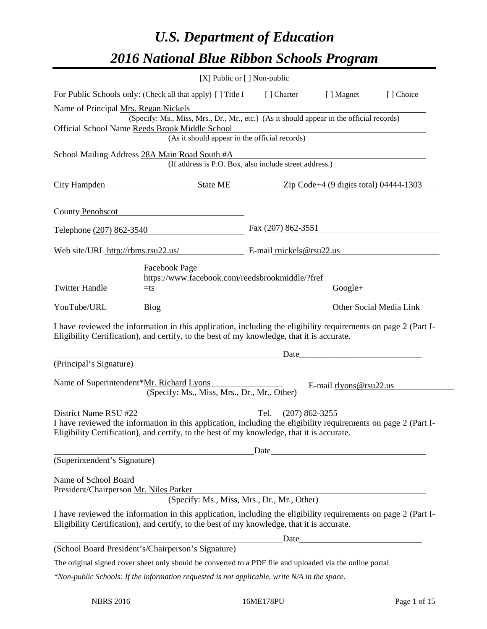# *U.S. Department of Education 2016 National Blue Ribbon Schools Program*

|                                                                | [X] Public or [] Non-public                                                                                                                                                                                                                               |                      |                        |                                 |
|----------------------------------------------------------------|-----------------------------------------------------------------------------------------------------------------------------------------------------------------------------------------------------------------------------------------------------------|----------------------|------------------------|---------------------------------|
|                                                                | For Public Schools only: (Check all that apply) [] Title I [] Charter [] Magnet [] Choice                                                                                                                                                                 |                      |                        |                                 |
| Name of Principal Mrs. Regan Nickels                           | (Specify: Ms., Miss, Mrs., Dr., Mr., etc.) (As it should appear in the official records)<br>Official School Name Reeds Brook Middle School<br>ook Middle School<br>(As it should appear in the official records)                                          |                      |                        |                                 |
|                                                                | School Mailing Address 28A Main Road South #A<br>ain Road South #A<br>(If address is P.O. Box, also include street address.)                                                                                                                              |                      |                        |                                 |
|                                                                | City Hampden State ME Zip Code+4 (9 digits total) 04444-1303                                                                                                                                                                                              |                      |                        |                                 |
|                                                                | County Penobscot                                                                                                                                                                                                                                          |                      |                        |                                 |
|                                                                | Telephone (207) 862-3540                                                                                                                                                                                                                                  | Fax $(207)$ 862-3551 |                        |                                 |
|                                                                | Web site/URL_http://rbms.rsu22.us/ E-mail_rnickels@rsu22.us                                                                                                                                                                                               |                      |                        |                                 |
|                                                                | Facebook Page<br>https://www.facebook.com/reedsbrookmiddle/?fref<br>Twitter Handle $\frac{\pm s}{\pm s}$                                                                                                                                                  |                      |                        |                                 |
|                                                                | YouTube/URL Blog                                                                                                                                                                                                                                          |                      |                        | Other Social Media Link _______ |
|                                                                | I have reviewed the information in this application, including the eligibility requirements on page 2 (Part I-<br>Eligibility Certification), and certify, to the best of my knowledge, that it is accurate.<br>Date                                      |                      |                        |                                 |
| (Principal's Signature)                                        |                                                                                                                                                                                                                                                           |                      |                        |                                 |
|                                                                | Name of Superintendent*Mr. Richard Lyons<br>(Specify: Ms., Miss, Mrs., Dr., Mr., Other)                                                                                                                                                                   |                      | E-mail rlyons@rsu22.us |                                 |
|                                                                |                                                                                                                                                                                                                                                           |                      |                        |                                 |
|                                                                | District Name RSU #22 Tel. (207) 862-3255<br>I have reviewed the information in this application, including the eligibility requirements on page 2 (Part I-<br>Eligibility Certification), and certify, to the best of my knowledge, that it is accurate. |                      |                        |                                 |
|                                                                |                                                                                                                                                                                                                                                           | Date                 |                        |                                 |
| (Superintendent's Signature)                                   |                                                                                                                                                                                                                                                           |                      |                        |                                 |
| Name of School Board<br>President/Chairperson Mr. Niles Parker | (Specify: Ms., Miss, Mrs., Dr., Mr., Other)                                                                                                                                                                                                               |                      |                        |                                 |
|                                                                | I have reviewed the information in this application, including the eligibility requirements on page 2 (Part I-<br>Eligibility Certification), and certify, to the best of my knowledge, that it is accurate.                                              |                      |                        |                                 |
|                                                                |                                                                                                                                                                                                                                                           |                      | Date <u>Date</u>       |                                 |
|                                                                | (School Board President's/Chairperson's Signature)                                                                                                                                                                                                        |                      |                        |                                 |
|                                                                | The original signed cover sheet only should be converted to a PDF file and uploaded via the online portal.                                                                                                                                                |                      |                        |                                 |
|                                                                | *Non-public Schools: If the information requested is not applicable, write N/A in the space.                                                                                                                                                              |                      |                        |                                 |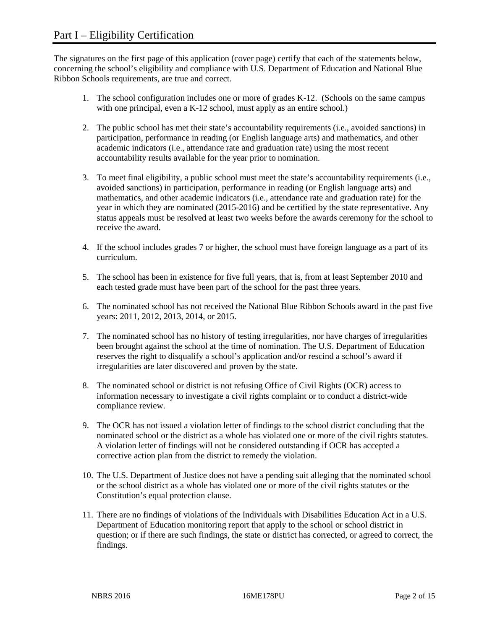The signatures on the first page of this application (cover page) certify that each of the statements below, concerning the school's eligibility and compliance with U.S. Department of Education and National Blue Ribbon Schools requirements, are true and correct.

- 1. The school configuration includes one or more of grades K-12. (Schools on the same campus with one principal, even a K-12 school, must apply as an entire school.)
- 2. The public school has met their state's accountability requirements (i.e., avoided sanctions) in participation, performance in reading (or English language arts) and mathematics, and other academic indicators (i.e., attendance rate and graduation rate) using the most recent accountability results available for the year prior to nomination.
- 3. To meet final eligibility, a public school must meet the state's accountability requirements (i.e., avoided sanctions) in participation, performance in reading (or English language arts) and mathematics, and other academic indicators (i.e., attendance rate and graduation rate) for the year in which they are nominated (2015-2016) and be certified by the state representative. Any status appeals must be resolved at least two weeks before the awards ceremony for the school to receive the award.
- 4. If the school includes grades 7 or higher, the school must have foreign language as a part of its curriculum.
- 5. The school has been in existence for five full years, that is, from at least September 2010 and each tested grade must have been part of the school for the past three years.
- 6. The nominated school has not received the National Blue Ribbon Schools award in the past five years: 2011, 2012, 2013, 2014, or 2015.
- 7. The nominated school has no history of testing irregularities, nor have charges of irregularities been brought against the school at the time of nomination. The U.S. Department of Education reserves the right to disqualify a school's application and/or rescind a school's award if irregularities are later discovered and proven by the state.
- 8. The nominated school or district is not refusing Office of Civil Rights (OCR) access to information necessary to investigate a civil rights complaint or to conduct a district-wide compliance review.
- 9. The OCR has not issued a violation letter of findings to the school district concluding that the nominated school or the district as a whole has violated one or more of the civil rights statutes. A violation letter of findings will not be considered outstanding if OCR has accepted a corrective action plan from the district to remedy the violation.
- 10. The U.S. Department of Justice does not have a pending suit alleging that the nominated school or the school district as a whole has violated one or more of the civil rights statutes or the Constitution's equal protection clause.
- 11. There are no findings of violations of the Individuals with Disabilities Education Act in a U.S. Department of Education monitoring report that apply to the school or school district in question; or if there are such findings, the state or district has corrected, or agreed to correct, the findings.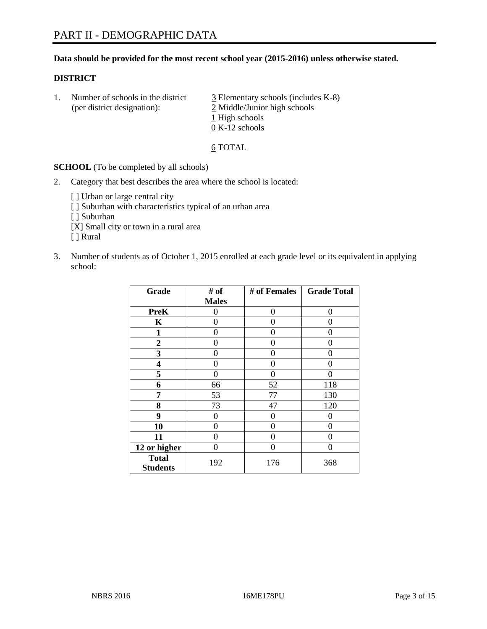#### **Data should be provided for the most recent school year (2015-2016) unless otherwise stated.**

#### **DISTRICT**

1. Number of schools in the district  $\frac{3}{2}$  Elementary schools (includes K-8) (per district designation): 2 Middle/Junior high schools 1 High schools 0 K-12 schools

#### 6 TOTAL

**SCHOOL** (To be completed by all schools)

- 2. Category that best describes the area where the school is located:
	- [] Urban or large central city [ ] Suburban with characteristics typical of an urban area [ ] Suburban [X] Small city or town in a rural area [ ] Rural
- 3. Number of students as of October 1, 2015 enrolled at each grade level or its equivalent in applying school:

| Grade                           | # of         | # of Females | <b>Grade Total</b> |
|---------------------------------|--------------|--------------|--------------------|
|                                 | <b>Males</b> |              |                    |
| <b>PreK</b>                     | 0            | 0            | 0                  |
| K                               | 0            | 0            | $\mathbf{\Omega}$  |
| 1                               | 0            | 0            | $\mathbf{\Omega}$  |
| $\overline{2}$                  | 0            | 0            | 0                  |
| 3                               | 0            | 0            | 0                  |
| 4                               | 0            | 0            | 0                  |
| 5                               | 0            | 0            | $\Omega$           |
| 6                               | 66           | 52           | 118                |
| 7                               | 53           | 77           | 130                |
| 8                               | 73           | 47           | 120                |
| 9                               | 0            | 0            | 0                  |
| 10                              | 0            | 0            | $\theta$           |
| 11                              | 0            | 0            | 0                  |
| 12 or higher                    | 0            | 0            | $\Omega$           |
| <b>Total</b><br><b>Students</b> | 192          | 176          | 368                |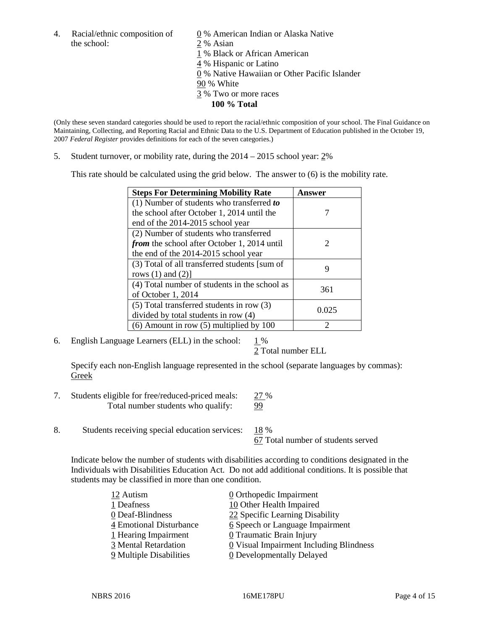4. Racial/ethnic composition of  $\qquad \qquad \underline{0}$  % American Indian or Alaska Native the school: 2 % Asian

1 % Black or African American 4 % Hispanic or Latino 0 % Native Hawaiian or Other Pacific Islander

- 90 % White
- 3 % Two or more races
	- **100 % Total**

(Only these seven standard categories should be used to report the racial/ethnic composition of your school. The Final Guidance on Maintaining, Collecting, and Reporting Racial and Ethnic Data to the U.S. Department of Education published in the October 19, 2007 *Federal Register* provides definitions for each of the seven categories.)

5. Student turnover, or mobility rate, during the 2014 – 2015 school year: 2%

This rate should be calculated using the grid below. The answer to (6) is the mobility rate.

| <b>Steps For Determining Mobility Rate</b>         | Answer |  |
|----------------------------------------------------|--------|--|
| (1) Number of students who transferred to          |        |  |
| the school after October 1, 2014 until the         |        |  |
| end of the 2014-2015 school year                   |        |  |
| (2) Number of students who transferred             |        |  |
| <i>from</i> the school after October 1, 2014 until | 2      |  |
| the end of the 2014-2015 school year               |        |  |
| (3) Total of all transferred students [sum of      | 9      |  |
| rows $(1)$ and $(2)$ ]                             |        |  |
| (4) Total number of students in the school as      | 361    |  |
| of October 1, 2014                                 |        |  |
| $(5)$ Total transferred students in row $(3)$      | 0.025  |  |
| divided by total students in row (4)               |        |  |
| $(6)$ Amount in row $(5)$ multiplied by 100        | ာ      |  |

6. English Language Learners (ELL) in the school:  $1\%$ 

2 Total number ELL

Specify each non-English language represented in the school (separate languages by commas): Greek

- 7. Students eligible for free/reduced-priced meals: 27 % Total number students who qualify: 99
- 8. Students receiving special education services: 18 %

67 Total number of students served

Indicate below the number of students with disabilities according to conditions designated in the Individuals with Disabilities Education Act. Do not add additional conditions. It is possible that students may be classified in more than one condition.

| 12 Autism               | $\underline{0}$ Orthopedic Impairment   |
|-------------------------|-----------------------------------------|
| 1 Deafness              | 10 Other Health Impaired                |
| 0 Deaf-Blindness        | 22 Specific Learning Disability         |
| 4 Emotional Disturbance | 6 Speech or Language Impairment         |
| 1 Hearing Impairment    | 0 Traumatic Brain Injury                |
| 3 Mental Retardation    | 0 Visual Impairment Including Blindness |
| 9 Multiple Disabilities | <b>0</b> Developmentally Delayed        |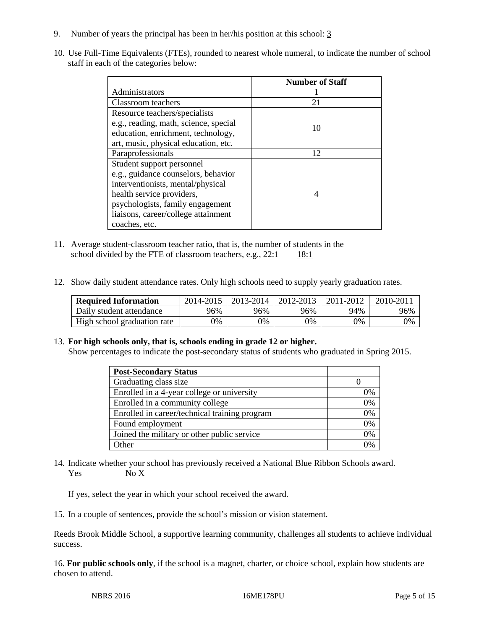- 9. Number of years the principal has been in her/his position at this school: 3
- 10. Use Full-Time Equivalents (FTEs), rounded to nearest whole numeral, to indicate the number of school staff in each of the categories below:

|                                       | <b>Number of Staff</b> |
|---------------------------------------|------------------------|
| Administrators                        |                        |
| Classroom teachers                    | 21                     |
| Resource teachers/specialists         |                        |
| e.g., reading, math, science, special | 10                     |
| education, enrichment, technology,    |                        |
| art, music, physical education, etc.  |                        |
| Paraprofessionals                     | 12                     |
| Student support personnel             |                        |
| e.g., guidance counselors, behavior   |                        |
| interventionists, mental/physical     |                        |
| health service providers,             |                        |
| psychologists, family engagement      |                        |
| liaisons, career/college attainment   |                        |
| coaches, etc.                         |                        |

- 11. Average student-classroom teacher ratio, that is, the number of students in the school divided by the FTE of classroom teachers, e.g.,  $22:1$  18:1
- 12. Show daily student attendance rates. Only high schools need to supply yearly graduation rates.

| <b>Required Information</b> | 2014-2015 | 2013-2014 | 2012-2013 | 2011-2012 | 2010-2011 |
|-----------------------------|-----------|-----------|-----------|-----------|-----------|
| Daily student attendance    | 96%       | 96%       | 96%       | 94%       | 96%       |
| High school graduation rate | 9%        | 0%        | 0%        | 9%        | 0%        |

#### 13. **For high schools only, that is, schools ending in grade 12 or higher.**

Show percentages to indicate the post-secondary status of students who graduated in Spring 2015.

| <b>Post-Secondary Status</b>                  |    |
|-----------------------------------------------|----|
| Graduating class size                         |    |
| Enrolled in a 4-year college or university    | 0% |
| Enrolled in a community college               | 0% |
| Enrolled in career/technical training program | 0% |
| Found employment                              | 0% |
| Joined the military or other public service   | 0% |
| Other                                         | 0/ |

14. Indicate whether your school has previously received a National Blue Ribbon Schools award. Yes No X

If yes, select the year in which your school received the award.

15. In a couple of sentences, provide the school's mission or vision statement.

Reeds Brook Middle School, a supportive learning community, challenges all students to achieve individual success.

16. **For public schools only**, if the school is a magnet, charter, or choice school, explain how students are chosen to attend.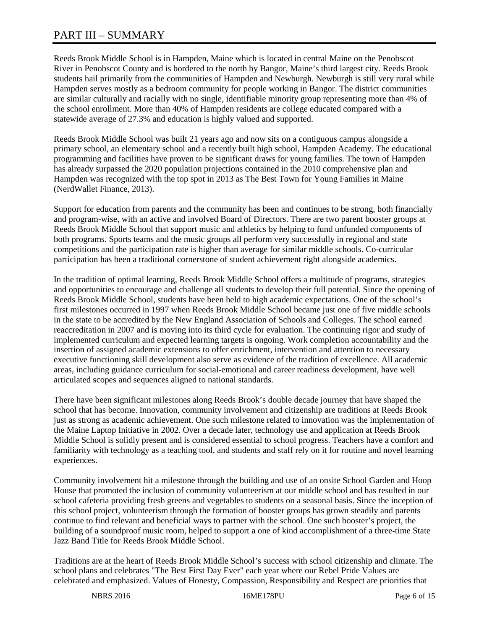# PART III – SUMMARY

Reeds Brook Middle School is in Hampden, Maine which is located in central Maine on the Penobscot River in Penobscot County and is bordered to the north by Bangor, Maine's third largest city. Reeds Brook students hail primarily from the communities of Hampden and Newburgh. Newburgh is still very rural while Hampden serves mostly as a bedroom community for people working in Bangor. The district communities are similar culturally and racially with no single, identifiable minority group representing more than 4% of the school enrollment. More than 40% of Hampden residents are college educated compared with a statewide average of 27.3% and education is highly valued and supported.

Reeds Brook Middle School was built 21 years ago and now sits on a contiguous campus alongside a primary school, an elementary school and a recently built high school, Hampden Academy. The educational programming and facilities have proven to be significant draws for young families. The town of Hampden has already surpassed the 2020 population projections contained in the 2010 comprehensive plan and Hampden was recognized with the top spot in 2013 as The Best Town for Young Families in Maine (NerdWallet Finance, 2013).

Support for education from parents and the community has been and continues to be strong, both financially and program-wise, with an active and involved Board of Directors. There are two parent booster groups at Reeds Brook Middle School that support music and athletics by helping to fund unfunded components of both programs. Sports teams and the music groups all perform very successfully in regional and state competitions and the participation rate is higher than average for similar middle schools. Co-curricular participation has been a traditional cornerstone of student achievement right alongside academics.

In the tradition of optimal learning, Reeds Brook Middle School offers a multitude of programs, strategies and opportunities to encourage and challenge all students to develop their full potential. Since the opening of Reeds Brook Middle School, students have been held to high academic expectations. One of the school's first milestones occurred in 1997 when Reeds Brook Middle School became just one of five middle schools in the state to be accredited by the New England Association of Schools and Colleges. The school earned reaccreditation in 2007 and is moving into its third cycle for evaluation. The continuing rigor and study of implemented curriculum and expected learning targets is ongoing. Work completion accountability and the insertion of assigned academic extensions to offer enrichment, intervention and attention to necessary executive functioning skill development also serve as evidence of the tradition of excellence. All academic areas, including guidance curriculum for social-emotional and career readiness development, have well articulated scopes and sequences aligned to national standards.

There have been significant milestones along Reeds Brook's double decade journey that have shaped the school that has become. Innovation, community involvement and citizenship are traditions at Reeds Brook just as strong as academic achievement. One such milestone related to innovation was the implementation of the Maine Laptop Initiative in 2002. Over a decade later, technology use and application at Reeds Brook Middle School is solidly present and is considered essential to school progress. Teachers have a comfort and familiarity with technology as a teaching tool, and students and staff rely on it for routine and novel learning experiences.

Community involvement hit a milestone through the building and use of an onsite School Garden and Hoop House that promoted the inclusion of community volunteerism at our middle school and has resulted in our school cafeteria providing fresh greens and vegetables to students on a seasonal basis. Since the inception of this school project, volunteerism through the formation of booster groups has grown steadily and parents continue to find relevant and beneficial ways to partner with the school. One such booster's project, the building of a soundproof music room, helped to support a one of kind accomplishment of a three-time State Jazz Band Title for Reeds Brook Middle School.

Traditions are at the heart of Reeds Brook Middle School's success with school citizenship and climate. The school plans and celebrates "The Best First Day Ever" each year where our Rebel Pride Values are celebrated and emphasized. Values of Honesty, Compassion, Responsibility and Respect are priorities that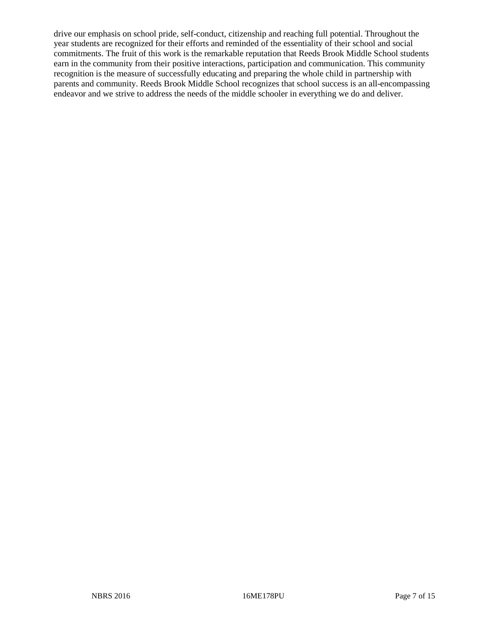drive our emphasis on school pride, self-conduct, citizenship and reaching full potential. Throughout the year students are recognized for their efforts and reminded of the essentiality of their school and social commitments. The fruit of this work is the remarkable reputation that Reeds Brook Middle School students earn in the community from their positive interactions, participation and communication. This community recognition is the measure of successfully educating and preparing the whole child in partnership with parents and community. Reeds Brook Middle School recognizes that school success is an all-encompassing endeavor and we strive to address the needs of the middle schooler in everything we do and deliver.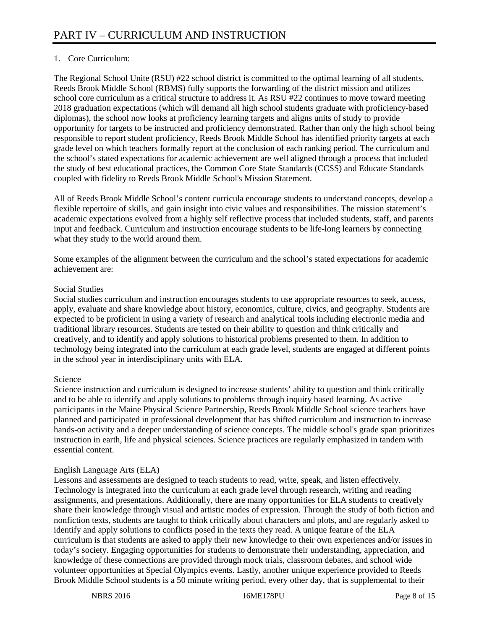# 1. Core Curriculum:

The Regional School Unite (RSU) #22 school district is committed to the optimal learning of all students. Reeds Brook Middle School (RBMS) fully supports the forwarding of the district mission and utilizes school core curriculum as a critical structure to address it. As RSU #22 continues to move toward meeting 2018 graduation expectations (which will demand all high school students graduate with proficiency-based diplomas), the school now looks at proficiency learning targets and aligns units of study to provide opportunity for targets to be instructed and proficiency demonstrated. Rather than only the high school being responsible to report student proficiency, Reeds Brook Middle School has identified priority targets at each grade level on which teachers formally report at the conclusion of each ranking period. The curriculum and the school's stated expectations for academic achievement are well aligned through a process that included the study of best educational practices, the Common Core State Standards (CCSS) and Educate Standards coupled with fidelity to Reeds Brook Middle School's Mission Statement.

All of Reeds Brook Middle School's content curricula encourage students to understand concepts, develop a flexible repertoire of skills, and gain insight into civic values and responsibilities. The mission statement's academic expectations evolved from a highly self reflective process that included students, staff, and parents input and feedback. Curriculum and instruction encourage students to be life-long learners by connecting what they study to the world around them.

Some examples of the alignment between the curriculum and the school's stated expectations for academic achievement are:

#### Social Studies

Social studies curriculum and instruction encourages students to use appropriate resources to seek, access, apply, evaluate and share knowledge about history, economics, culture, civics, and geography. Students are expected to be proficient in using a variety of research and analytical tools including electronic media and traditional library resources. Students are tested on their ability to question and think critically and creatively, and to identify and apply solutions to historical problems presented to them. In addition to technology being integrated into the curriculum at each grade level, students are engaged at different points in the school year in interdisciplinary units with ELA.

# Science

Science instruction and curriculum is designed to increase students' ability to question and think critically and to be able to identify and apply solutions to problems through inquiry based learning. As active participants in the Maine Physical Science Partnership, Reeds Brook Middle School science teachers have planned and participated in professional development that has shifted curriculum and instruction to increase hands-on activity and a deeper understanding of science concepts. The middle school's grade span prioritizes instruction in earth, life and physical sciences. Science practices are regularly emphasized in tandem with essential content.

# English Language Arts (ELA)

Lessons and assessments are designed to teach students to read, write, speak, and listen effectively. Technology is integrated into the curriculum at each grade level through research, writing and reading assignments, and presentations. Additionally, there are many opportunities for ELA students to creatively share their knowledge through visual and artistic modes of expression. Through the study of both fiction and nonfiction texts, students are taught to think critically about characters and plots, and are regularly asked to identify and apply solutions to conflicts posed in the texts they read. A unique feature of the ELA curriculum is that students are asked to apply their new knowledge to their own experiences and/or issues in today's society. Engaging opportunities for students to demonstrate their understanding, appreciation, and knowledge of these connections are provided through mock trials, classroom debates, and school wide volunteer opportunities at Special Olympics events. Lastly, another unique experience provided to Reeds Brook Middle School students is a 50 minute writing period, every other day, that is supplemental to their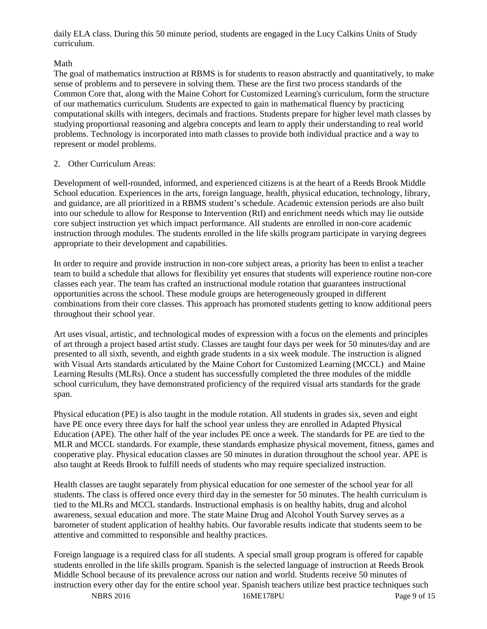daily ELA class. During this 50 minute period, students are engaged in the Lucy Calkins Units of Study curriculum.

# Math

The goal of mathematics instruction at RBMS is for students to reason abstractly and quantitatively, to make sense of problems and to persevere in solving them. These are the first two process standards of the Common Core that, along with the Maine Cohort for Customized Learning's curriculum, form the structure of our mathematics curriculum. Students are expected to gain in mathematical fluency by practicing computational skills with integers, decimals and fractions. Students prepare for higher level math classes by studying proportional reasoning and algebra concepts and learn to apply their understanding to real world problems. Technology is incorporated into math classes to provide both individual practice and a way to represent or model problems.

# 2. Other Curriculum Areas:

Development of well-rounded, informed, and experienced citizens is at the heart of a Reeds Brook Middle School education. Experiences in the arts, foreign language, health, physical education, technology, library, and guidance, are all prioritized in a RBMS student's schedule. Academic extension periods are also built into our schedule to allow for Response to Intervention (RtI) and enrichment needs which may lie outside core subject instruction yet which impact performance. All students are enrolled in non-core academic instruction through modules. The students enrolled in the life skills program participate in varying degrees appropriate to their development and capabilities.

In order to require and provide instruction in non-core subject areas, a priority has been to enlist a teacher team to build a schedule that allows for flexibility yet ensures that students will experience routine non-core classes each year. The team has crafted an instructional module rotation that guarantees instructional opportunities across the school. These module groups are heterogeneously grouped in different combinations from their core classes. This approach has promoted students getting to know additional peers throughout their school year.

Art uses visual, artistic, and technological modes of expression with a focus on the elements and principles of art through a project based artist study. Classes are taught four days per week for 50 minutes/day and are presented to all sixth, seventh, and eighth grade students in a six week module. The instruction is aligned with Visual Arts standards articulated by the Maine Cohort for Customized Learning (MCCL) and Maine Learning Results (MLRs). Once a student has successfully completed the three modules of the middle school curriculum, they have demonstrated proficiency of the required visual arts standards for the grade span.

Physical education (PE) is also taught in the module rotation. All students in grades six, seven and eight have PE once every three days for half the school year unless they are enrolled in Adapted Physical Education (APE). The other half of the year includes PE once a week. The standards for PE are tied to the MLR and MCCL standards. For example, these standards emphasize physical movement, fitness, games and cooperative play. Physical education classes are 50 minutes in duration throughout the school year. APE is also taught at Reeds Brook to fulfill needs of students who may require specialized instruction.

Health classes are taught separately from physical education for one semester of the school year for all students. The class is offered once every third day in the semester for 50 minutes. The health curriculum is tied to the MLRs and MCCL standards. Instructional emphasis is on healthy habits, drug and alcohol awareness, sexual education and more. The state Maine Drug and Alcohol Youth Survey serves as a barometer of student application of healthy habits. Our favorable results indicate that students seem to be attentive and committed to responsible and healthy practices.

Foreign language is a required class for all students. A special small group program is offered for capable students enrolled in the life skills program. Spanish is the selected language of instruction at Reeds Brook Middle School because of its prevalence across our nation and world. Students receive 50 minutes of instruction every other day for the entire school year. Spanish teachers utilize best practice techniques such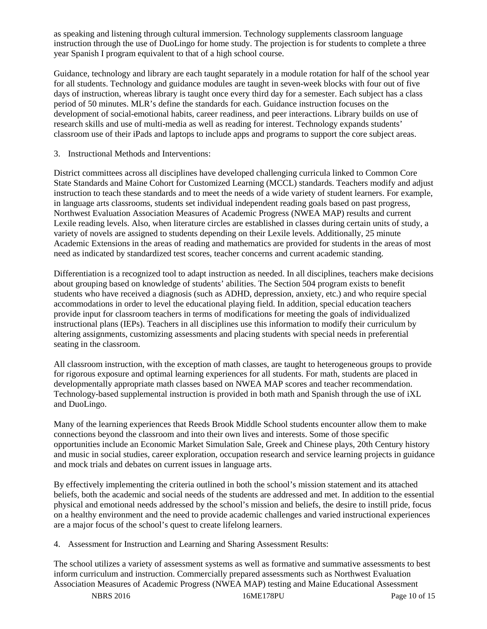as speaking and listening through cultural immersion. Technology supplements classroom language instruction through the use of DuoLingo for home study. The projection is for students to complete a three year Spanish I program equivalent to that of a high school course.

Guidance, technology and library are each taught separately in a module rotation for half of the school year for all students. Technology and guidance modules are taught in seven-week blocks with four out of five days of instruction, whereas library is taught once every third day for a semester. Each subject has a class period of 50 minutes. MLR's define the standards for each. Guidance instruction focuses on the development of social-emotional habits, career readiness, and peer interactions. Library builds on use of research skills and use of multi-media as well as reading for interest. Technology expands students' classroom use of their iPads and laptops to include apps and programs to support the core subject areas.

3. Instructional Methods and Interventions:

District committees across all disciplines have developed challenging curricula linked to Common Core State Standards and Maine Cohort for Customized Learning (MCCL) standards. Teachers modify and adjust instruction to teach these standards and to meet the needs of a wide variety of student learners. For example, in language arts classrooms, students set individual independent reading goals based on past progress, Northwest Evaluation Association Measures of Academic Progress (NWEA MAP) results and current Lexile reading levels. Also, when literature circles are established in classes during certain units of study, a variety of novels are assigned to students depending on their Lexile levels. Additionally, 25 minute Academic Extensions in the areas of reading and mathematics are provided for students in the areas of most need as indicated by standardized test scores, teacher concerns and current academic standing.

Differentiation is a recognized tool to adapt instruction as needed. In all disciplines, teachers make decisions about grouping based on knowledge of students' abilities. The Section 504 program exists to benefit students who have received a diagnosis (such as ADHD, depression, anxiety, etc.) and who require special accommodations in order to level the educational playing field. In addition, special education teachers provide input for classroom teachers in terms of modifications for meeting the goals of individualized instructional plans (IEPs). Teachers in all disciplines use this information to modify their curriculum by altering assignments, customizing assessments and placing students with special needs in preferential seating in the classroom.

All classroom instruction, with the exception of math classes, are taught to heterogeneous groups to provide for rigorous exposure and optimal learning experiences for all students. For math, students are placed in developmentally appropriate math classes based on NWEA MAP scores and teacher recommendation. Technology-based supplemental instruction is provided in both math and Spanish through the use of iXL and DuoLingo.

Many of the learning experiences that Reeds Brook Middle School students encounter allow them to make connections beyond the classroom and into their own lives and interests. Some of those specific opportunities include an Economic Market Simulation Sale, Greek and Chinese plays, 20th Century history and music in social studies, career exploration, occupation research and service learning projects in guidance and mock trials and debates on current issues in language arts.

By effectively implementing the criteria outlined in both the school's mission statement and its attached beliefs, both the academic and social needs of the students are addressed and met. In addition to the essential physical and emotional needs addressed by the school's mission and beliefs, the desire to instill pride, focus on a healthy environment and the need to provide academic challenges and varied instructional experiences are a major focus of the school's quest to create lifelong learners.

4. Assessment for Instruction and Learning and Sharing Assessment Results:

The school utilizes a variety of assessment systems as well as formative and summative assessments to best inform curriculum and instruction. Commercially prepared assessments such as Northwest Evaluation Association Measures of Academic Progress (NWEA MAP) testing and Maine Educational Assessment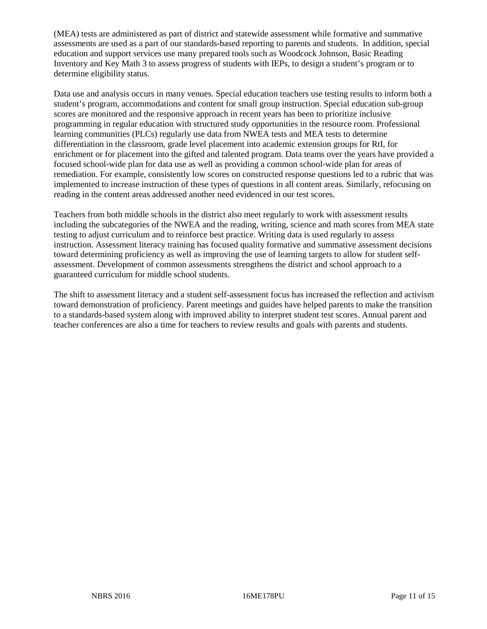(MEA) tests are administered as part of district and statewide assessment while formative and summative assessments are used as a part of our standards-based reporting to parents and students. In addition, special education and support services use many prepared tools such as Woodcock Johnson, Basic Reading Inventory and Key Math 3 to assess progress of students with IEPs, to design a student's program or to determine eligibility status.

Data use and analysis occurs in many venues. Special education teachers use testing results to inform both a student's program, accommodations and content for small group instruction. Special education sub-group scores are monitored and the responsive approach in recent years has been to prioritize inclusive programming in regular education with structured study opportunities in the resource room. Professional learning communities (PLCs) regularly use data from NWEA tests and MEA tests to determine differentiation in the classroom, grade level placement into academic extension groups for RtI, for enrichment or for placement into the gifted and talented program. Data teams over the years have provided a focused school-wide plan for data use as well as providing a common school-wide plan for areas of remediation. For example, consistently low scores on constructed response questions led to a rubric that was implemented to increase instruction of these types of questions in all content areas. Similarly, refocusing on reading in the content areas addressed another need evidenced in our test scores.

Teachers from both middle schools in the district also meet regularly to work with assessment results including the subcategories of the NWEA and the reading, writing, science and math scores from MEA state testing to adjust curriculum and to reinforce best practice. Writing data is used regularly to assess instruction. Assessment literacy training has focused quality formative and summative assessment decisions toward determining proficiency as well as improving the use of learning targets to allow for student selfassessment. Development of common assessments strengthens the district and school approach to a guaranteed curriculum for middle school students.

The shift to assessment literacy and a student self-assessment focus has increased the reflection and activism toward demonstration of proficiency. Parent meetings and guides have helped parents to make the transition to a standards-based system along with improved ability to interpret student test scores. Annual parent and teacher conferences are also a time for teachers to review results and goals with parents and students.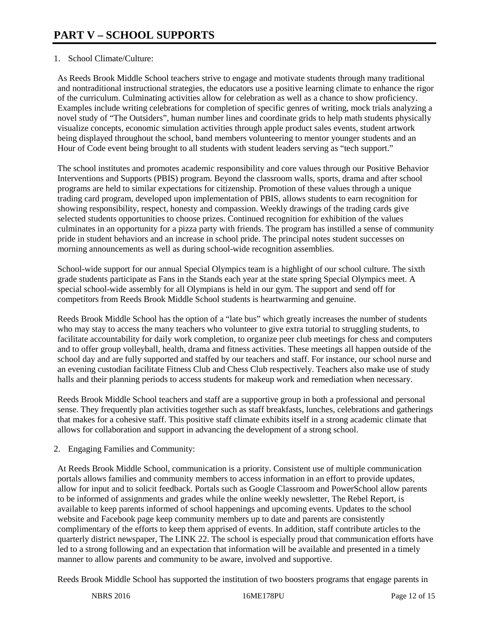#### 1. School Climate/Culture:

As Reeds Brook Middle School teachers strive to engage and motivate students through many traditional and nontraditional instructional strategies, the educators use a positive learning climate to enhance the rigor of the curriculum. Culminating activities allow for celebration as well as a chance to show proficiency. Examples include writing celebrations for completion of specific genres of writing, mock trials analyzing a novel study of "The Outsiders", human number lines and coordinate grids to help math students physically visualize concepts, economic simulation activities through apple product sales events, student artwork being displayed throughout the school, band members volunteering to mentor younger students and an Hour of Code event being brought to all students with student leaders serving as "tech support."

The school institutes and promotes academic responsibility and core values through our Positive Behavior Interventions and Supports (PBIS) program. Beyond the classroom walls, sports, drama and after school programs are held to similar expectations for citizenship. Promotion of these values through a unique trading card program, developed upon implementation of PBIS, allows students to earn recognition for showing responsibility, respect, honesty and compassion. Weekly drawings of the trading cards give selected students opportunities to choose prizes. Continued recognition for exhibition of the values culminates in an opportunity for a pizza party with friends. The program has instilled a sense of community pride in student behaviors and an increase in school pride. The principal notes student successes on morning announcements as well as during school-wide recognition assemblies.

School-wide support for our annual Special Olympics team is a highlight of our school culture. The sixth grade students participate as Fans in the Stands each year at the state spring Special Olympics meet. A special school-wide assembly for all Olympians is held in our gym. The support and send off for competitors from Reeds Brook Middle School students is heartwarming and genuine.

Reeds Brook Middle School has the option of a "late bus" which greatly increases the number of students who may stay to access the many teachers who volunteer to give extra tutorial to struggling students, to facilitate accountability for daily work completion, to organize peer club meetings for chess and computers and to offer group volleyball, health, drama and fitness activities. These meetings all happen outside of the school day and are fully supported and staffed by our teachers and staff. For instance, our school nurse and an evening custodian facilitate Fitness Club and Chess Club respectively. Teachers also make use of study halls and their planning periods to access students for makeup work and remediation when necessary.

Reeds Brook Middle School teachers and staff are a supportive group in both a professional and personal sense. They frequently plan activities together such as staff breakfasts, lunches, celebrations and gatherings that makes for a cohesive staff. This positive staff climate exhibits itself in a strong academic climate that allows for collaboration and support in advancing the development of a strong school.

# 2. Engaging Families and Community:

At Reeds Brook Middle School, communication is a priority. Consistent use of multiple communication portals allows families and community members to access information in an effort to provide updates, allow for input and to solicit feedback. Portals such as Google Classroom and PowerSchool allow parents to be informed of assignments and grades while the online weekly newsletter, The Rebel Report, is available to keep parents informed of school happenings and upcoming events. Updates to the school website and Facebook page keep community members up to date and parents are consistently complimentary of the efforts to keep them apprised of events. In addition, staff contribute articles to the quarterly district newspaper, The LINK 22. The school is especially proud that communication efforts have led to a strong following and an expectation that information will be available and presented in a timely manner to allow parents and community to be aware, involved and supportive.

Reeds Brook Middle School has supported the institution of two boosters programs that engage parents in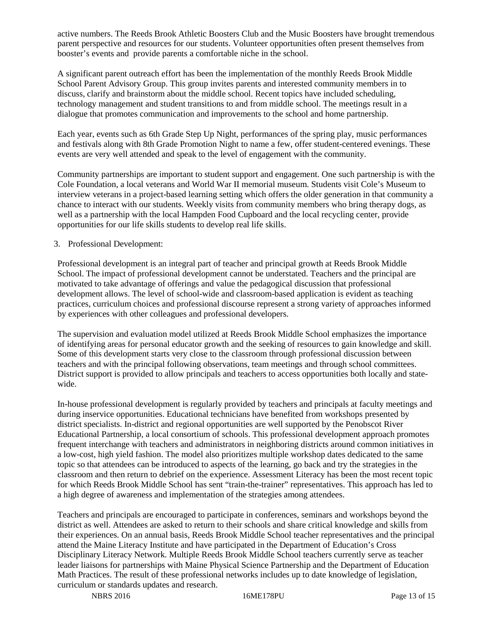active numbers. The Reeds Brook Athletic Boosters Club and the Music Boosters have brought tremendous parent perspective and resources for our students. Volunteer opportunities often present themselves from booster's events and provide parents a comfortable niche in the school.

A significant parent outreach effort has been the implementation of the monthly Reeds Brook Middle School Parent Advisory Group. This group invites parents and interested community members in to discuss, clarify and brainstorm about the middle school. Recent topics have included scheduling, technology management and student transitions to and from middle school. The meetings result in a dialogue that promotes communication and improvements to the school and home partnership.

Each year, events such as 6th Grade Step Up Night, performances of the spring play, music performances and festivals along with 8th Grade Promotion Night to name a few, offer student-centered evenings. These events are very well attended and speak to the level of engagement with the community.

Community partnerships are important to student support and engagement. One such partnership is with the Cole Foundation, a local veterans and World War II memorial museum. Students visit Cole's Museum to interview veterans in a project-based learning setting which offers the older generation in that community a chance to interact with our students. Weekly visits from community members who bring therapy dogs, as well as a partnership with the local Hampden Food Cupboard and the local recycling center, provide opportunities for our life skills students to develop real life skills.

#### 3. Professional Development:

Professional development is an integral part of teacher and principal growth at Reeds Brook Middle School. The impact of professional development cannot be understated. Teachers and the principal are motivated to take advantage of offerings and value the pedagogical discussion that professional development allows. The level of school-wide and classroom-based application is evident as teaching practices, curriculum choices and professional discourse represent a strong variety of approaches informed by experiences with other colleagues and professional developers.

The supervision and evaluation model utilized at Reeds Brook Middle School emphasizes the importance of identifying areas for personal educator growth and the seeking of resources to gain knowledge and skill. Some of this development starts very close to the classroom through professional discussion between teachers and with the principal following observations, team meetings and through school committees. District support is provided to allow principals and teachers to access opportunities both locally and statewide.

In-house professional development is regularly provided by teachers and principals at faculty meetings and during inservice opportunities. Educational technicians have benefited from workshops presented by district specialists. In-district and regional opportunities are well supported by the Penobscot River Educational Partnership, a local consortium of schools. This professional development approach promotes frequent interchange with teachers and administrators in neighboring districts around common initiatives in a low-cost, high yield fashion. The model also prioritizes multiple workshop dates dedicated to the same topic so that attendees can be introduced to aspects of the learning, go back and try the strategies in the classroom and then return to debrief on the experience. Assessment Literacy has been the most recent topic for which Reeds Brook Middle School has sent "train-the-trainer" representatives. This approach has led to a high degree of awareness and implementation of the strategies among attendees.

Teachers and principals are encouraged to participate in conferences, seminars and workshops beyond the district as well. Attendees are asked to return to their schools and share critical knowledge and skills from their experiences. On an annual basis, Reeds Brook Middle School teacher representatives and the principal attend the Maine Literacy Institute and have participated in the Department of Education's Cross Disciplinary Literacy Network. Multiple Reeds Brook Middle School teachers currently serve as teacher leader liaisons for partnerships with Maine Physical Science Partnership and the Department of Education Math Practices. The result of these professional networks includes up to date knowledge of legislation, curriculum or standards updates and research.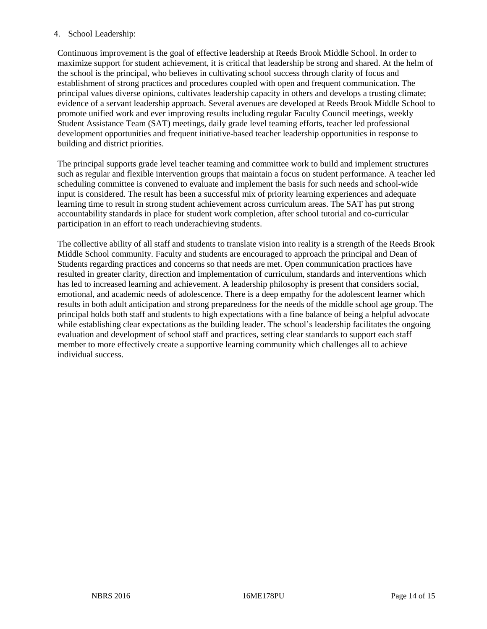#### 4. School Leadership:

Continuous improvement is the goal of effective leadership at Reeds Brook Middle School. In order to maximize support for student achievement, it is critical that leadership be strong and shared. At the helm of the school is the principal, who believes in cultivating school success through clarity of focus and establishment of strong practices and procedures coupled with open and frequent communication. The principal values diverse opinions, cultivates leadership capacity in others and develops a trusting climate; evidence of a servant leadership approach. Several avenues are developed at Reeds Brook Middle School to promote unified work and ever improving results including regular Faculty Council meetings, weekly Student Assistance Team (SAT) meetings, daily grade level teaming efforts, teacher led professional development opportunities and frequent initiative-based teacher leadership opportunities in response to building and district priorities.

The principal supports grade level teacher teaming and committee work to build and implement structures such as regular and flexible intervention groups that maintain a focus on student performance. A teacher led scheduling committee is convened to evaluate and implement the basis for such needs and school-wide input is considered. The result has been a successful mix of priority learning experiences and adequate learning time to result in strong student achievement across curriculum areas. The SAT has put strong accountability standards in place for student work completion, after school tutorial and co-curricular participation in an effort to reach underachieving students.

The collective ability of all staff and students to translate vision into reality is a strength of the Reeds Brook Middle School community. Faculty and students are encouraged to approach the principal and Dean of Students regarding practices and concerns so that needs are met. Open communication practices have resulted in greater clarity, direction and implementation of curriculum, standards and interventions which has led to increased learning and achievement. A leadership philosophy is present that considers social, emotional, and academic needs of adolescence. There is a deep empathy for the adolescent learner which results in both adult anticipation and strong preparedness for the needs of the middle school age group. The principal holds both staff and students to high expectations with a fine balance of being a helpful advocate while establishing clear expectations as the building leader. The school's leadership facilitates the ongoing evaluation and development of school staff and practices, setting clear standards to support each staff member to more effectively create a supportive learning community which challenges all to achieve individual success.